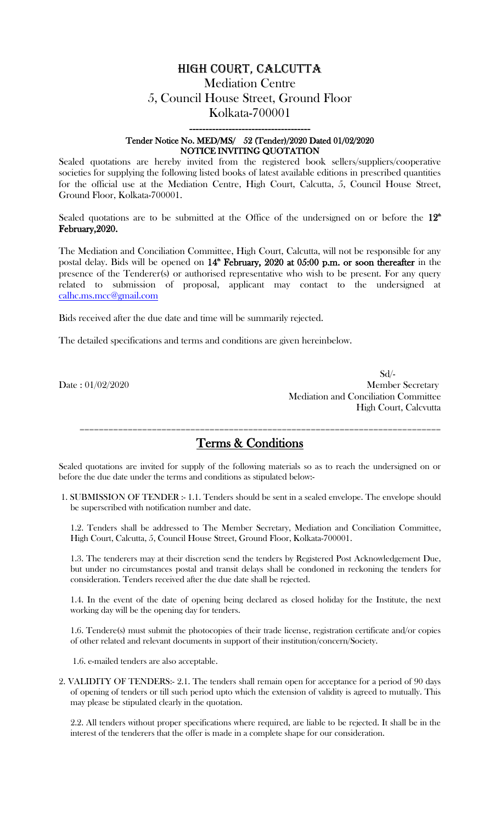# High court, Calcutta Mediation Centre 5, Council House Street, Ground Floor Kolkata-700001

### ------------------------------------- Tender Notice No. MED/MS/ 52 (Tender)/2020 Dated 01/02/2020 NOTICE INVITING QUOTATION

Sealed quotations are hereby invited from the registered book sellers/suppliers/cooperative societies for supplying the following listed books of latest available editions in prescribed quantities for the official use at the Mediation Centre, High Court, Calcutta, 5, Council House Street, Ground Floor, Kolkata-700001.

Sealed quotations are to be submitted at the Office of the undersigned on or before the  $12<sup>th</sup>$ February,2020.

The Mediation and Conciliation Committee, High Court, Calcutta, will not be responsible for any postal delay. Bids will be opened on  $14^{\text{th}}$  February, 2020 at 05:00 p.m. or soon thereafter in the presence of the Tenderer(s) or authorised representative who wish to be present. For any query related to submission of proposal, applicant may contact to the undersigned at [calhc.ms.mcc@gmail.com](mailto:calhc.ms.mcc@gmail.com)

Bids received after the due date and time will be summarily rejected.

The detailed specifications and terms and conditions are given hereinbelow.

 Sd/- Date : 01/02/2020 Member Secretary Mediation and Conciliation Committee High Court, Calcvutta

# Terms & Conditions

===========================================================================

Sealed quotations are invited for supply of the following materials so as to reach the undersigned on or before the due date under the terms and conditions as stipulated below:-

1. SUBMISSION OF TENDER :- 1.1. Tenders should be sent in a sealed envelope. The envelope should be superscribed with notification number and date.

1.2. Tenders shall be addressed to The Member Secretary, Mediation and Conciliation Committee, High Court, Calcutta, 5, Council House Street, Ground Floor, Kolkata-700001.

1.3. The tenderers may at their discretion send the tenders by Registered Post Acknowledgement Due, but under no circumstances postal and transit delays shall be condoned in reckoning the tenders for consideration. Tenders received after the due date shall be rejected.

1.4. In the event of the date of opening being declared as closed holiday for the Institute, the next working day will be the opening day for tenders.

1.6. Tendere(s) must submit the photocopies of their trade license, registration certificate and/or copies of other related and relevant documents in support of their institution/concern/Society.

1.6. e-mailed tenders are also acceptable.

2. VALIDITY OF TENDERS:- 2.1. The tenders shall remain open for acceptance for a period of 90 days of opening of tenders or till such period upto which the extension of validity is agreed to mutually. This may please be stipulated clearly in the quotation.

2.2. All tenders without proper specifications where required, are liable to be rejected. It shall be in the interest of the tenderers that the offer is made in a complete shape for our consideration.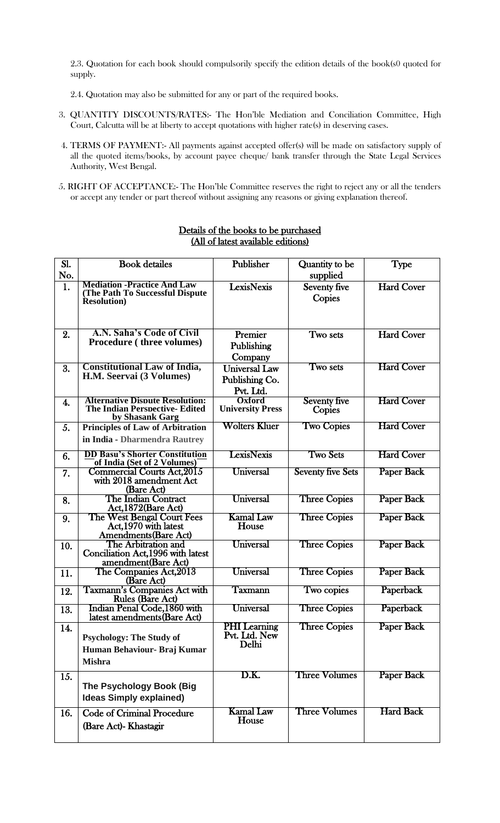2.3. Quotation for each book should compulsorily specify the edition details of the book(s0 quoted for supply.

- 2.4. Quotation may also be submitted for any or part of the required books.
- 3. QUANTITY DISCOUNTS/RATES:- The Hon'ble Mediation and Conciliation Committee, High Court, Calcutta will be at liberty to accept quotations with higher rate(s) in deserving cases.
- 4. TERMS OF PAYMENT:- All payments against accepted offer(s) will be made on satisfactory supply of all the quoted items/books, by account payee cheque/ bank transfer through the State Legal Services Authority, West Bengal.
- 5. RIGHT OF ACCEPTANCE:- The Hon'ble Committee reserves the right to reject any or all the tenders or accept any tender or part thereof without assigning any reasons or giving explanation thereof.

| Sl.<br>No. | <b>Book</b> detailes                                                                               | Publisher                                           | Quantity to be<br>supplied    | <b>Type</b>       |
|------------|----------------------------------------------------------------------------------------------------|-----------------------------------------------------|-------------------------------|-------------------|
| 1.         | <b>Mediation -Practice And Law</b><br>(The Path To Successful Dispute)<br><b>Resolution</b> )      | <b>LexisNexis</b>                                   | Seventy five<br>Copies        | <b>Hard Cover</b> |
| 2.         | A.N. Saha's Code of Civil<br><b>Procedure (three volumes)</b>                                      | Premier<br>Publishing<br>Company                    | Two sets                      | <b>Hard Cover</b> |
| 3.         | <b>Constitutional Law of India,</b><br>H.M. Seervai (3 Volumes)                                    | <b>Universal Law</b><br>Publishing Co.<br>Pvt. Ltd. | Two sets                      | <b>Hard Cover</b> |
| 4.         | <b>Alternative Dispute Resolution:</b><br><b>The Indian Perspective- Edited</b><br>by Shasank Garg | Oxford<br><b>University Press</b>                   | <b>Seventy five</b><br>Copies | <b>Hard Cover</b> |
| 5.         | <b>Principles of Law of Arbitration</b><br>in India - Dharmendra Rautrey                           | <b>Wolters Kluer</b>                                | <b>Two Copies</b>             | <b>Hard Cover</b> |
| 6.         | <b>DD Basu's Shorter Constitution</b><br>of India (Set of 2 Volumes)                               | <b>LexisNexis</b>                                   | <b>Two Sets</b>               | <b>Hard Cover</b> |
| 7.         | Commercial Courts Act, 2015<br>with 2018 amendment Act<br>(Bare Act)                               | Universal                                           | <b>Seventy five Sets</b>      | <b>Paper Back</b> |
| 8.         | The Indian Contract<br>Act, 1872(Bare Act)                                                         | Universal                                           | <b>Three Copies</b>           | Paper Back        |
| 9.         | The West Bengal Court Fees<br>Act, 1970 with latest<br><b>Amendments</b> (Bare Act)                | <b>Kamal Law</b><br>House                           | <b>Three Copies</b>           | <b>Paper Back</b> |
| 10.        | The Arbitration and<br>Conciliation Act, 1996 with latest<br>amendment(Bare Act)                   | Universal                                           | <b>Three Copies</b>           | <b>Paper Back</b> |
| 11.        | The Companies Act, 2013<br>(Bare Act)                                                              | Universal                                           | <b>Three Copies</b>           | <b>Paper Back</b> |
| 12.        | <b>Taxmann's Companies Act with</b><br><b>Rules (Bare Act)</b>                                     | Taxmann                                             | Two copies                    | <b>Paperback</b>  |
| 13.        | Indian Penal Code,1860 with<br>latest amendments (Bare Act)                                        | Universal                                           | <b>Three Copies</b>           | Paperback         |
| 14.        | <b>Psychology: The Study of</b><br>Human Behaviour- Braj Kumar<br><b>Mishra</b>                    | <b>PHI</b> Learning<br>Pvt. Ltd. New<br>Delhi       | <b>Three Copies</b>           | Paper Back        |
| 15.        | The Psychology Book (Big<br><b>Ideas Simply explained)</b>                                         | D.K.                                                | <b>Three Volumes</b>          | Paper Back        |
| 16.        | <b>Code of Criminal Procedure</b><br>(Bare Act)- Khastagir                                         | <b>Kamal Law</b><br>House                           | <b>Three Volumes</b>          | <b>Hard Back</b>  |

### Details of the books to be purchased (All of latest available editions)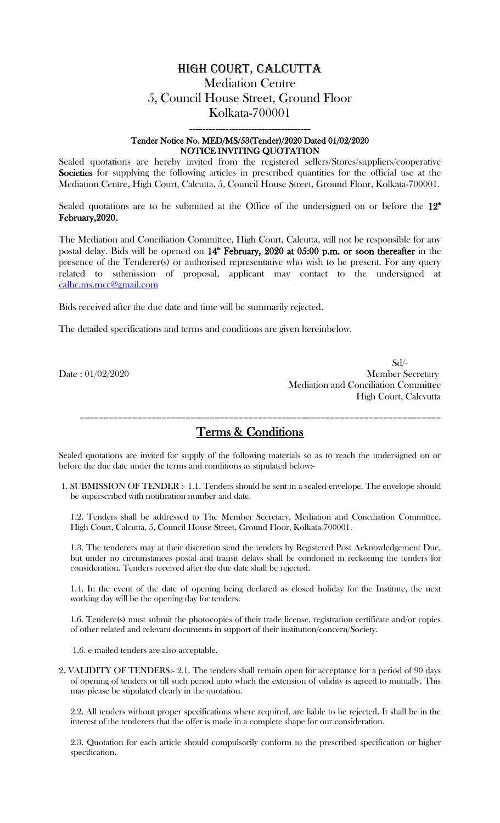# High court, Calcutta Mediation Centre 5, Council House Street, Ground Floor Kolkata-700001

### ------------------------------------- Tender Notice No. MED/MS/53(Tender)/2020 Dated 01/02/2020 NOTICE INVITING QUOTATION

Sealed quotations are hereby invited from the registered sellers/Stores/suppliers/cooperative Societies for supplying the following articles in prescribed quantities for the official use at the Mediation Centre, High Court, Calcutta, 5, Council House Street, Ground Floor, Kolkata-700001.

Sealed quotations are to be submitted at the Office of the undersigned on or before the  $12<sup>th</sup>$ February,2020.

The Mediation and Conciliation Committee, High Court, Calcutta, will not be responsible for any postal delay. Bids will be opened on  $14^{\text{th}}$  February, 2020 at 05:00 p.m. or soon thereafter in the presence of the Tenderer(s) or authorised representative who wish to be present. For any query related to submission of proposal, applicant may contact to the undersigned at [calhc.ms.mcc@gmail.com](mailto:calhc.ms.mcc@gmail.com)

Bids received after the due date and time will be summarily rejected.

The detailed specifications and terms and conditions are given hereinbelow.

 Sd/- Date : 01/02/2020 Member Secretary Mediation and Conciliation Committee High Court, Calcvutta

Terms & Conditions

===========================================================================

Sealed quotations are invited for supply of the following materials so as to reach the undersigned on or before the due date under the terms and conditions as stipulated below:-

1. SUBMISSION OF TENDER :- 1.1. Tenders should be sent in a sealed envelope. The envelope should be superscribed with notification number and date.

1.2. Tenders shall be addressed to The Member Secretary, Mediation and Conciliation Committee, High Court, Calcutta, 5, Council House Street, Ground Floor, Kolkata-700001.

1.3. The tenderers may at their discretion send the tenders by Registered Post Acknowledgement Due, but under no circumstances postal and transit delays shall be condoned in reckoning the tenders for consideration. Tenders received after the due date shall be rejected.

1.4. In the event of the date of opening being declared as closed holiday for the Institute, the next working day will be the opening day for tenders.

1.6. Tendere(s) must submit the photocopies of their trade license, registration certificate and/or copies of other related and relevant documents in support of their institution/concern/Society.

1.6. e-mailed tenders are also acceptable.

2. VALIDITY OF TENDERS:- 2.1. The tenders shall remain open for acceptance for a period of 90 days of opening of tenders or till such period upto which the extension of validity is agreed to mutually. This may please be stipulated clearly in the quotation.

2.2. All tenders without proper specifications where required, are liable to be rejected. It shall be in the interest of the tenderers that the offer is made in a complete shape for our consideration.

2.3. Quotation for each article should compulsorily conform to the prescribed specification or higher specification.